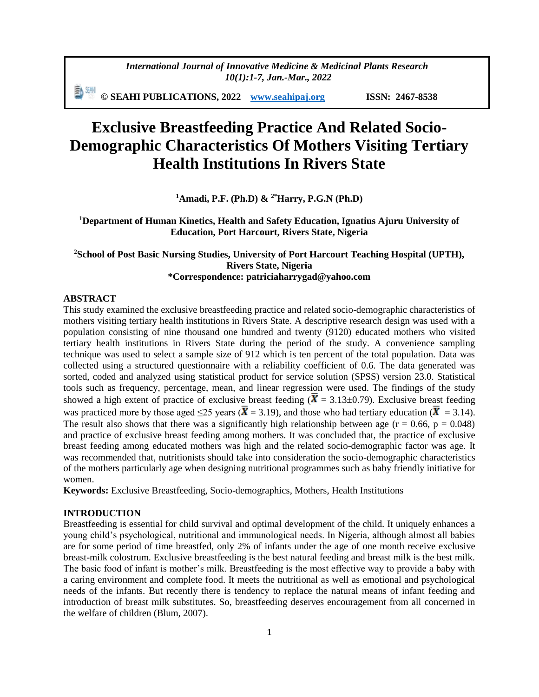動珊 **© SEAHI PUBLICATIONS, 2022 [www.seahipaj.org](http://www.seahipaj.org/) ISSN: 2467-8538**

# **Exclusive Breastfeeding Practice And Related Socio-Demographic Characteristics Of Mothers Visiting Tertiary Health Institutions In Rivers State**

**<sup>1</sup>Amadi, P.F. (Ph.D) & 2\*Harry, P.G.N (Ph.D)**

**<sup>1</sup>Department of Human Kinetics, Health and Safety Education, Ignatius Ajuru University of Education, Port Harcourt, Rivers State, Nigeria**

# **<sup>2</sup>School of Post Basic Nursing Studies, University of Port Harcourt Teaching Hospital (UPTH), Rivers State, Nigeria \*Correspondence: patriciaharrygad@yahoo.com**

## **ABSTRACT**

This study examined the exclusive breastfeeding practice and related socio-demographic characteristics of mothers visiting tertiary health institutions in Rivers State. A descriptive research design was used with a population consisting of nine thousand one hundred and twenty (9120) educated mothers who visited tertiary health institutions in Rivers State during the period of the study. A convenience sampling technique was used to select a sample size of 912 which is ten percent of the total population. Data was collected using a structured questionnaire with a reliability coefficient of 0.6. The data generated was sorted, coded and analyzed using statistical product for service solution (SPSS) version 23.0. Statistical tools such as frequency, percentage, mean, and linear regression were used. The findings of the study showed a high extent of practice of exclusive breast feeding ( $\bar{X}$  = 3.13±0.79). Exclusive breast feeding was practiced more by those aged ≤25 years ( $\overline{X}$  = 3.19), and those who had tertiary education ( $\overline{X}$  = 3.14). The result also shows that there was a significantly high relationship between age  $(r = 0.66, p = 0.048)$ and practice of exclusive breast feeding among mothers. It was concluded that, the practice of exclusive breast feeding among educated mothers was high and the related socio-demographic factor was age. It was recommended that, nutritionists should take into consideration the socio-demographic characteristics of the mothers particularly age when designing nutritional programmes such as baby friendly initiative for women.

**Keywords:** Exclusive Breastfeeding, Socio-demographics, Mothers, Health Institutions

# **INTRODUCTION**

Breastfeeding is essential for child survival and optimal development of the child. It uniquely enhances a young child's psychological, nutritional and immunological needs. In Nigeria, although almost all babies are for some period of time breastfed, only 2% of infants under the age of one month receive exclusive breast-milk colostrum. Exclusive breastfeeding is the best natural feeding and breast milk is the best milk. The basic food of infant is mother's milk. Breastfeeding is the most effective way to provide a baby with a caring environment and complete food. It meets the nutritional as well as emotional and psychological needs of the infants. But recently there is tendency to replace the natural means of infant feeding and introduction of breast milk substitutes. So, breastfeeding deserves encouragement from all concerned in the welfare of children (Blum, 2007).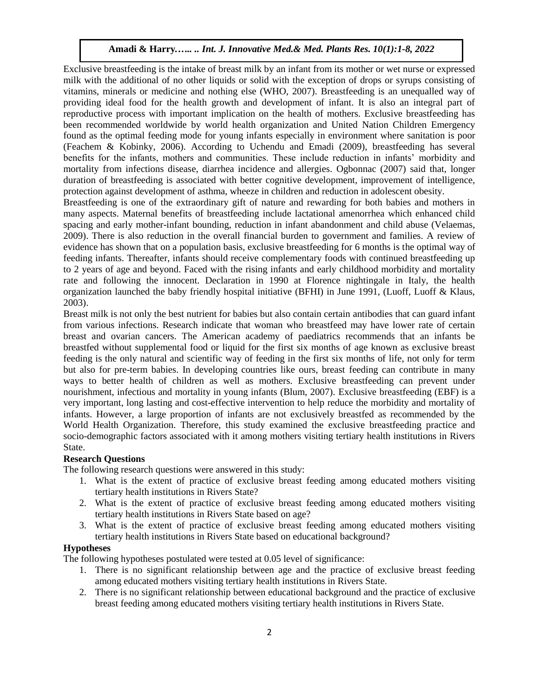Exclusive breastfeeding is the intake of breast milk by an infant from its mother or wet nurse or expressed milk with the additional of no other liquids or solid with the exception of drops or syrups consisting of vitamins, minerals or medicine and nothing else (WHO, 2007). Breastfeeding is an unequalled way of providing ideal food for the health growth and development of infant. It is also an integral part of reproductive process with important implication on the health of mothers. Exclusive breastfeeding has been recommended worldwide by world health organization and United Nation Children Emergency found as the optimal feeding mode for young infants especially in environment where sanitation is poor (Feachem & Kobinky, 2006). According to Uchendu and Emadi (2009), breastfeeding has several benefits for the infants, mothers and communities. These include reduction in infants' morbidity and mortality from infections disease, diarrhea incidence and allergies. Ogbonnac (2007) said that, longer duration of breastfeeding is associated with better cognitive development, improvement of intelligence, protection against development of asthma, wheeze in children and reduction in adolescent obesity.

Breastfeeding is one of the extraordinary gift of nature and rewarding for both babies and mothers in many aspects. Maternal benefits of breastfeeding include lactational amenorrhea which enhanced child spacing and early mother-infant bounding, reduction in infant abandonment and child abuse (Velaemas, 2009). There is also reduction in the overall financial burden to government and families. A review of evidence has shown that on a population basis, exclusive breastfeeding for 6 months is the optimal way of feeding infants. Thereafter, infants should receive complementary foods with continued breastfeeding up to 2 years of age and beyond. Faced with the rising infants and early childhood morbidity and mortality rate and following the innocent. Declaration in 1990 at Florence nightingale in Italy, the health organization launched the baby friendly hospital initiative (BFHI) in June 1991, (Luoff, Luoff & Klaus, 2003).

Breast milk is not only the best nutrient for babies but also contain certain antibodies that can guard infant from various infections. Research indicate that woman who breastfeed may have lower rate of certain breast and ovarian cancers. The American academy of paediatrics recommends that an infants be breastfed without supplemental food or liquid for the first six months of age known as exclusive breast feeding is the only natural and scientific way of feeding in the first six months of life, not only for term but also for pre-term babies. In developing countries like ours, breast feeding can contribute in many ways to better health of children as well as mothers. Exclusive breastfeeding can prevent under nourishment, infectious and mortality in young infants (Blum, 2007). Exclusive breastfeeding (EBF) is a very important, long lasting and cost-effective intervention to help reduce the morbidity and mortality of infants. However, a large proportion of infants are not exclusively breastfed as recommended by the World Health Organization. Therefore, this study examined the exclusive breastfeeding practice and socio-demographic factors associated with it among mothers visiting tertiary health institutions in Rivers State.

## **Research Questions**

The following research questions were answered in this study:

- 1. What is the extent of practice of exclusive breast feeding among educated mothers visiting tertiary health institutions in Rivers State?
- 2. What is the extent of practice of exclusive breast feeding among educated mothers visiting tertiary health institutions in Rivers State based on age?
- 3. What is the extent of practice of exclusive breast feeding among educated mothers visiting tertiary health institutions in Rivers State based on educational background?

## **Hypotheses**

The following hypotheses postulated were tested at 0.05 level of significance:

- 1. There is no significant relationship between age and the practice of exclusive breast feeding among educated mothers visiting tertiary health institutions in Rivers State.
- 2. There is no significant relationship between educational background and the practice of exclusive breast feeding among educated mothers visiting tertiary health institutions in Rivers State.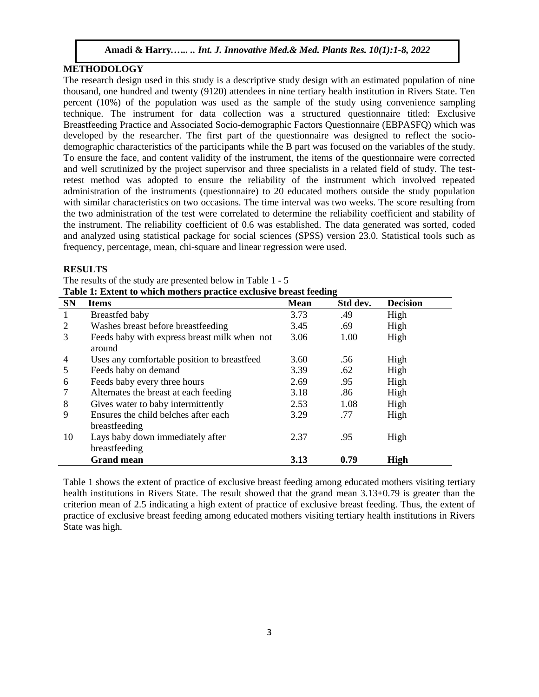# **METHODOLOGY**

The research design used in this study is a descriptive study design with an estimated population of nine thousand, one hundred and twenty (9120) attendees in nine tertiary health institution in Rivers State. Ten percent (10%) of the population was used as the sample of the study using convenience sampling technique. The instrument for data collection was a structured questionnaire titled: Exclusive Breastfeeding Practice and Associated Socio-demographic Factors Questionnaire (EBPASFQ) which was developed by the researcher. The first part of the questionnaire was designed to reflect the sociodemographic characteristics of the participants while the B part was focused on the variables of the study. To ensure the face, and content validity of the instrument, the items of the questionnaire were corrected and well scrutinized by the project supervisor and three specialists in a related field of study. The testretest method was adopted to ensure the reliability of the instrument which involved repeated administration of the instruments (questionnaire) to 20 educated mothers outside the study population with similar characteristics on two occasions. The time interval was two weeks. The score resulting from the two administration of the test were correlated to determine the reliability coefficient and stability of the instrument. The reliability coefficient of 0.6 was established. The data generated was sorted, coded and analyzed using statistical package for social sciences (SPSS) version 23.0. Statistical tools such as frequency, percentage, mean, chi-square and linear regression were used.

#### **RESULTS**

|              | Table 1: Extent to which mothers practice exclusive breast feeding |             |          |                 |
|--------------|--------------------------------------------------------------------|-------------|----------|-----------------|
| <b>SN</b>    | <b>Items</b>                                                       | <b>Mean</b> | Std dev. | <b>Decision</b> |
| $\mathbf{1}$ | Breastfed baby                                                     | 3.73        | .49      | High            |
| 2            | Washes breast before breastfeeding                                 | 3.45        | .69      | High            |
| 3            | Feeds baby with express breast milk when not<br>around             | 3.06        | 1.00     | High            |
| 4            | Uses any comfortable position to breastfeed                        | 3.60        | .56      | High            |
| 5            | Feeds baby on demand                                               | 3.39        | .62      | High            |
| 6            | Feeds baby every three hours                                       | 2.69        | .95      | High            |
|              | Alternates the breast at each feeding                              | 3.18        | .86      | High            |
| 8            | Gives water to baby intermittently                                 | 2.53        | 1.08     | High            |
| 9            | Ensures the child belches after each<br>breastfeeding              | 3.29        | .77      | High            |
| 10           | Lays baby down immediately after<br>breastfeeding                  | 2.37        | .95      | High            |
|              | <b>Grand mean</b>                                                  | 3.13        | 0.79     | High            |

The results of the study are presented below in Table 1 - 5

Table 1 shows the extent of practice of exclusive breast feeding among educated mothers visiting tertiary health institutions in Rivers State. The result showed that the grand mean  $3.13\pm0.79$  is greater than the criterion mean of 2.5 indicating a high extent of practice of exclusive breast feeding. Thus, the extent of practice of exclusive breast feeding among educated mothers visiting tertiary health institutions in Rivers State was high.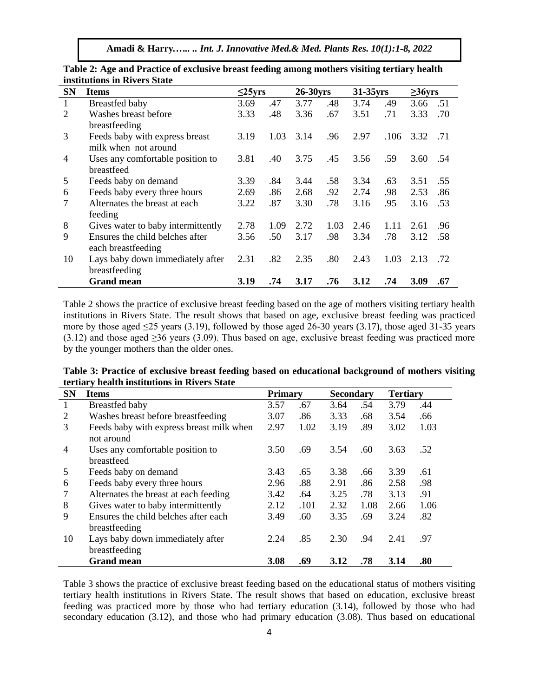| <b>SN</b>    | <b>Items</b>                       | $\leq$ 25yrs |      | 26-30yrs |      | 31-35yrs |      | $\geq$ 36yrs |     |
|--------------|------------------------------------|--------------|------|----------|------|----------|------|--------------|-----|
| $\mathbf{1}$ | Breastfed baby                     | 3.69         | .47  | 3.77     | .48  | 3.74     | .49  | 3.66         | .51 |
| 2            | Washes breast before               | 3.33         | .48  | 3.36     | .67  | 3.51     | .71  | 3.33         | .70 |
|              | breastfeeding                      |              |      |          |      |          |      |              |     |
| 3            | Feeds baby with express breast     | 3.19         | 1.03 | 3.14     | .96  | 2.97     | .106 | 3.32         | .71 |
|              | milk when not around               |              |      |          |      |          |      |              |     |
| 4            | Uses any comfortable position to   | 3.81         | .40  | 3.75     | .45  | 3.56     | .59  | 3.60         | .54 |
|              | breastfeed                         |              |      |          |      |          |      |              |     |
| 5            | Feeds baby on demand               | 3.39         | .84  | 3.44     | .58  | 3.34     | .63  | 3.51         | .55 |
| 6            | Feeds baby every three hours       | 2.69         | .86  | 2.68     | .92  | 2.74     | .98  | 2.53         | .86 |
|              | Alternates the breast at each      | 3.22         | .87  | 3.30     | .78  | 3.16     | .95  | 3.16         | .53 |
|              | feeding                            |              |      |          |      |          |      |              |     |
| 8            | Gives water to baby intermittently | 2.78         | 1.09 | 2.72     | 1.03 | 2.46     | 1.11 | 2.61         | .96 |
| 9            | Ensures the child belches after    | 3.56         | .50  | 3.17     | .98  | 3.34     | .78  | 3.12         | .58 |
|              | each breastfeeding                 |              |      |          |      |          |      |              |     |
| 10           | Lays baby down immediately after   | 2.31         | .82  | 2.35     | .80  | 2.43     | 1.03 | 2.13         | .72 |
|              | breastfeeding                      |              |      |          |      |          |      |              |     |
|              | <b>Grand mean</b>                  | 3.19         | .74  | 3.17     | .76  | 3.12     | .74  | 3.09         | .67 |

**Table 2: Age and Practice of exclusive breast feeding among mothers visiting tertiary health institutions in Rivers State** 

Table 2 shows the practice of exclusive breast feeding based on the age of mothers visiting tertiary health institutions in Rivers State. The result shows that based on age, exclusive breast feeding was practiced more by those aged  $\leq$ 25 years (3.19), followed by those aged 26-30 years (3.17), those aged 31-35 years  $(3.12)$  and those aged  $\geq$ 36 years (3.09). Thus based on age, exclusive breast feeding was practiced more by the younger mothers than the older ones.

**Table 3: Practice of exclusive breast feeding based on educational background of mothers visiting tertiary health institutions in Rivers State** 

| <b>SN</b>                                                   | <b>Primary</b><br><b>Items</b>                        |      |      | <b>Secondary</b> |      | <b>Tertiary</b> |      |
|-------------------------------------------------------------|-------------------------------------------------------|------|------|------------------|------|-----------------|------|
| 1                                                           | Breastfed baby                                        |      | .67  | 3.64             | .54  | 3.79            | .44  |
| 2                                                           | Washes breast before breastfeeding                    | 3.07 | .86  | 3.33             | .68  | 3.54            | .66  |
| 3<br>Feeds baby with express breast milk when<br>not around |                                                       | 2.97 | 1.02 | 3.19             | .89  | 3.02            | 1.03 |
| $\overline{4}$                                              | Uses any comfortable position to<br>breastfeed        | 3.50 | .69  | 3.54             | .60  | 3.63            | .52  |
| 5                                                           | Feeds baby on demand                                  | 3.43 | .65  | 3.38             | .66  | 3.39            | .61  |
| 6                                                           | Feeds baby every three hours                          | 2.96 | .88  | 2.91             | .86  | 2.58            | .98  |
| 7                                                           | Alternates the breast at each feeding                 | 3.42 | .64  | 3.25             | .78  | 3.13            | .91  |
| 8                                                           | Gives water to baby intermittently                    | 2.12 | .101 | 2.32             | 1.08 | 2.66            | 1.06 |
| 9                                                           | Ensures the child belches after each<br>breastfeeding | 3.49 | .60  | 3.35             | .69  | 3.24            | .82  |
| 10                                                          | Lays baby down immediately after<br>breastfeeding     | 2.24 | .85  | 2.30             | .94  | 2.41            | .97  |
|                                                             | <b>Grand mean</b>                                     | 3.08 | .69  | 3.12             | .78  | 3.14            | .80  |

Table 3 shows the practice of exclusive breast feeding based on the educational status of mothers visiting tertiary health institutions in Rivers State. The result shows that based on education, exclusive breast feeding was practiced more by those who had tertiary education (3.14), followed by those who had secondary education (3.12), and those who had primary education (3.08). Thus based on educational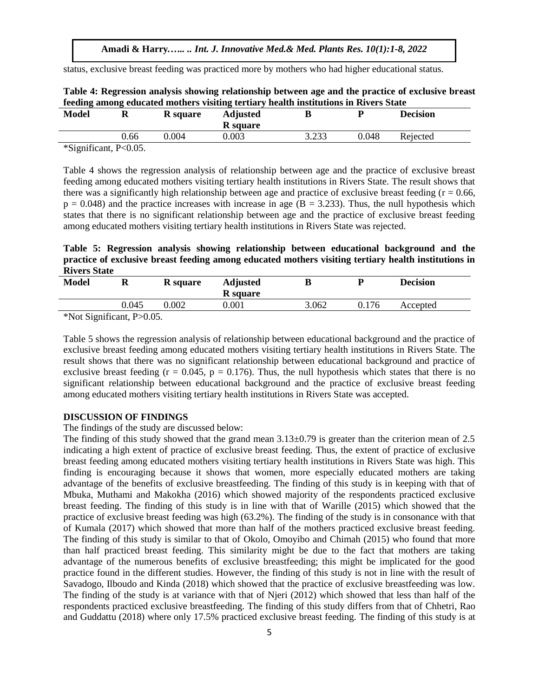status, exclusive breast feeding was practiced more by mothers who had higher educational status.

|         | <b>Model</b> | v    | <b>R</b> square | <b>Adjusted</b><br><b>R</b> square |       |       | <b>Decision</b> |  |
|---------|--------------|------|-----------------|------------------------------------|-------|-------|-----------------|--|
| ر ر_ے.ر |              | 0.66 | 0.004           | 0.003                              | 2 722 | 0.048 | Rejected        |  |

**Table 4: Regression analysis showing relationship between age and the practice of exclusive breast feeding among educated mothers visiting tertiary health institutions in Rivers State**

\*Significant, P<0.05.

Table 4 shows the regression analysis of relationship between age and the practice of exclusive breast feeding among educated mothers visiting tertiary health institutions in Rivers State. The result shows that there was a significantly high relationship between age and practice of exclusive breast feeding ( $r = 0.66$ ,  $p = 0.048$ ) and the practice increases with increase in age ( $B = 3.233$ ). Thus, the null hypothesis which states that there is no significant relationship between age and the practice of exclusive breast feeding among educated mothers visiting tertiary health institutions in Rivers State was rejected.

**Table 5: Regression analysis showing relationship between educational background and the practice of exclusive breast feeding among educated mothers visiting tertiary health institutions in Rivers State**

| <b>Model</b>                                                              | u     | R square  | <b>Adjusted</b><br><b>R</b> square |       |       | <b>Decision</b> |  |  |
|---------------------------------------------------------------------------|-------|-----------|------------------------------------|-------|-------|-----------------|--|--|
|                                                                           | 0.045 | $0.002\,$ | $0.001\,$                          | 3.062 | 0.176 | Accepted        |  |  |
| $*N_{\alpha}$ C <sub>i</sub> $\ldots$ $\ldots$ $\ldots$ $\ldots$ $\ldots$ |       |           |                                    |       |       |                 |  |  |

\*Not Significant, P>0.05.

Table 5 shows the regression analysis of relationship between educational background and the practice of exclusive breast feeding among educated mothers visiting tertiary health institutions in Rivers State. The result shows that there was no significant relationship between educational background and practice of exclusive breast feeding ( $r = 0.045$ ,  $p = 0.176$ ). Thus, the null hypothesis which states that there is no significant relationship between educational background and the practice of exclusive breast feeding among educated mothers visiting tertiary health institutions in Rivers State was accepted.

## **DISCUSSION OF FINDINGS**

The findings of the study are discussed below:

The finding of this study showed that the grand mean  $3.13\pm0.79$  is greater than the criterion mean of 2.5 indicating a high extent of practice of exclusive breast feeding. Thus, the extent of practice of exclusive breast feeding among educated mothers visiting tertiary health institutions in Rivers State was high. This finding is encouraging because it shows that women, more especially educated mothers are taking advantage of the benefits of exclusive breastfeeding. The finding of this study is in keeping with that of Mbuka, Muthami and Makokha (2016) which showed majority of the respondents practiced exclusive breast feeding. The finding of this study is in line with that of Warille (2015) which showed that the practice of exclusive breast feeding was high (63.2%). The finding of the study is in consonance with that of Kumala (2017) which showed that more than half of the mothers practiced exclusive breast feeding. The finding of this study is similar to that of Okolo, Omoyibo and Chimah (2015) who found that more than half practiced breast feeding. This similarity might be due to the fact that mothers are taking advantage of the numerous benefits of exclusive breastfeeding; this might be implicated for the good practice found in the different studies. However, the finding of this study is not in line with the result of Savadogo, Ilboudo and Kinda (2018) which showed that the practice of exclusive breastfeeding was low. The finding of the study is at variance with that of Njeri (2012) which showed that less than half of the respondents practiced exclusive breastfeeding. The finding of this study differs from that of Chhetri, Rao and Guddattu (2018) where only 17.5% practiced exclusive breast feeding. The finding of this study is at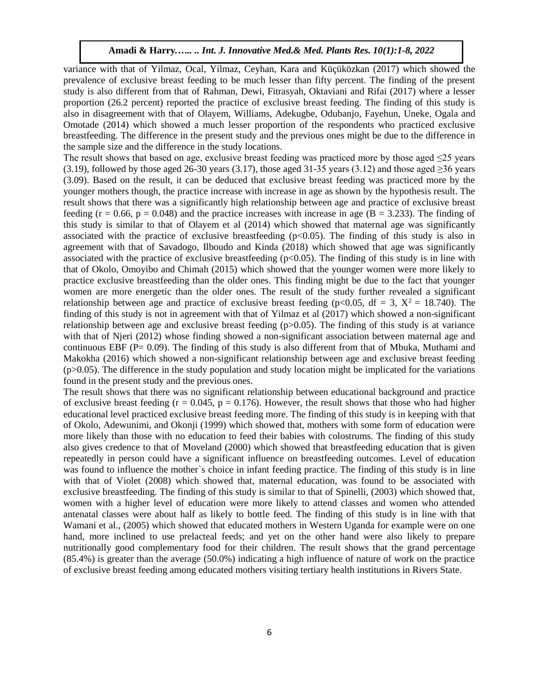variance with that of Yilmaz, Ocal, Yilmaz, Ceyhan, Kara and Küçüközkan (2017) which showed the prevalence of exclusive breast feeding to be much lesser than fifty percent. The finding of the present study is also different from that of Rahman, Dewi, Fitrasyah, Oktaviani and Rifai (2017) where a lesser proportion (26.2 percent) reported the practice of exclusive breast feeding. The finding of this study is also in disagreement with that of Olayem, Williams, Adekugbe, Odubanjo, Fayehun, Uneke, Ogala and Omotade (2014) which showed a much lesser proportion of the respondents who practiced exclusive breastfeeding. The difference in the present study and the previous ones might be due to the difference in the sample size and the difference in the study locations.

The result shows that based on age, exclusive breast feeding was practiced more by those aged  $\leq 25$  years  $(3.19)$ , followed by those aged 26-30 years  $(3.17)$ , those aged 31-35 years  $(3.12)$  and those aged ≥36 years (3.09). Based on the result, it can be deduced that exclusive breast feeding was practiced more by the younger mothers though, the practice increase with increase in age as shown by the hypothesis result. The result shows that there was a significantly high relationship between age and practice of exclusive breast feeding ( $r = 0.66$ ,  $p = 0.048$ ) and the practice increases with increase in age ( $B = 3.233$ ). The finding of this study is similar to that of Olayem et al (2014) which showed that maternal age was significantly associated with the practice of exclusive breastfeeding  $(p<0.05)$ . The finding of this study is also in agreement with that of Savadogo, Ilboudo and Kinda (2018) which showed that age was significantly associated with the practice of exclusive breastfeeding  $(p<0.05)$ . The finding of this study is in line with that of Okolo, Omoyibo and Chimah (2015) which showed that the younger women were more likely to practice exclusive breastfeeding than the older ones. This finding might be due to the fact that younger women are more energetic than the older ones. The result of the study further revealed a significant relationship between age and practice of exclusive breast feeding (p<0.05, df = 3,  $X^2 = 18.740$ ). The finding of this study is not in agreement with that of Yilmaz et al (2017) which showed a non-significant relationship between age and exclusive breast feeding  $(p>0.05)$ . The finding of this study is at variance with that of Njeri (2012) whose finding showed a non-significant association between maternal age and continuous EBF ( $P= 0.09$ ). The finding of this study is also different from that of Mbuka, Muthami and Makokha (2016) which showed a non-significant relationship between age and exclusive breast feeding  $(p>0.05)$ . The difference in the study population and study location might be implicated for the variations found in the present study and the previous ones.

The result shows that there was no significant relationship between educational background and practice of exclusive breast feeding ( $r = 0.045$ ,  $p = 0.176$ ). However, the result shows that those who had higher educational level practiced exclusive breast feeding more. The finding of this study is in keeping with that of Okolo, Adewunimi, and Okonji (1999) which showed that, mothers with some form of education were more likely than those with no education to feed their babies with colostrums. The finding of this study also gives credence to that of Moveland (2000) which showed that breastfeeding education that is given repeatedly in person could have a significant influence on breastfeeding outcomes. Level of education was found to influence the mother`s choice in infant feeding practice. The finding of this study is in line with that of Violet (2008) which showed that, maternal education, was found to be associated with exclusive breastfeeding. The finding of this study is similar to that of Spinelli, (2003) which showed that, women with a higher level of education were more likely to attend classes and women who attended antenatal classes were about half as likely to bottle feed. The finding of this study is in line with that Wamani et al., (2005) which showed that educated mothers in Western Uganda for example were on one hand, more inclined to use prelacteal feeds; and yet on the other hand were also likely to prepare nutritionally good complementary food for their children. The result shows that the grand percentage (85.4%) is greater than the average (50.0%) indicating a high influence of nature of work on the practice of exclusive breast feeding among educated mothers visiting tertiary health institutions in Rivers State.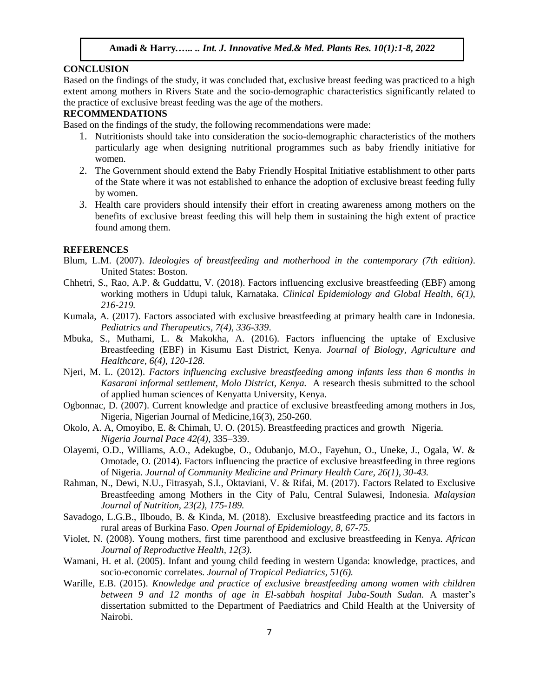## **CONCLUSION**

Based on the findings of the study, it was concluded that, exclusive breast feeding was practiced to a high extent among mothers in Rivers State and the socio-demographic characteristics significantly related to the practice of exclusive breast feeding was the age of the mothers.

#### **RECOMMENDATIONS**

Based on the findings of the study, the following recommendations were made:

- 1. Nutritionists should take into consideration the socio-demographic characteristics of the mothers particularly age when designing nutritional programmes such as baby friendly initiative for women.
- 2. The Government should extend the Baby Friendly Hospital Initiative establishment to other parts of the State where it was not established to enhance the adoption of exclusive breast feeding fully by women.
- 3. Health care providers should intensify their effort in creating awareness among mothers on the benefits of exclusive breast feeding this will help them in sustaining the high extent of practice found among them.

### **REFERENCES**

- Blum, L.M. (2007). *Ideologies of breastfeeding and motherhood in the contemporary (7th edition)*. United States: Boston.
- Chhetri, S., Rao, A.P. & Guddattu, V. (2018). Factors influencing exclusive breastfeeding (EBF) among working mothers in Udupi taluk, Karnataka. *Clinical Epidemiology and Global Health, 6(1), 216-219.*
- Kumala, A. (2017). Factors associated with exclusive breastfeeding at primary health care in Indonesia. *Pediatrics and Therapeutics, 7(4), 336-339*.
- Mbuka, S., Muthami, L. & Makokha, A. (2016). Factors influencing the uptake of Exclusive Breastfeeding (EBF) in Kisumu East District, Kenya. *Journal of Biology, Agriculture and Healthcare, 6(4), 120-128.*
- Njeri, M. L. (2012). *Factors influencing exclusive breastfeeding among infants less than 6 months in Kasarani informal settlement, Molo District, Kenya.* A research thesis submitted to the school of applied human sciences of Kenyatta University, Kenya.
- Ogbonnac, D. (2007). Current knowledge and practice of exclusive breastfeeding among mothers in Jos, Nigeria, Nigerian Journal of Medicine,16(3), 250-260.
- Okolo, A. A, Omoyibo, E. & Chimah, U. O. (2015). Breastfeeding practices and growth Nigeria*. Nigeria Journal Pace 42(4),* 335–339.
- Olayemi, O.D., Williams, A.O., Adekugbe, O., Odubanjo, M.O., Fayehun, O., Uneke, J., Ogala, W. & Omotade, O. (2014). Factors influencing the practice of exclusive breastfeeding in three regions of Nigeria. *Journal of Community Medicine and Primary Health Care, 26(1), 30-43.*
- Rahman, N., Dewi, N.U., Fitrasyah, S.I., Oktaviani, V. & Rifai, M. (2017). Factors Related to Exclusive Breastfeeding among Mothers in the City of Palu, Central Sulawesi, Indonesia. *Malaysian Journal of Nutrition, 23(2), 175-189.*
- Savadogo, L.G.B., Ilboudo, B. & Kinda, M. (2018). Exclusive breastfeeding practice and its factors in rural areas of Burkina Faso. *Open Journal of Epidemiology, 8, 67-75.*
- Violet, N. (2008). Young mothers, first time parenthood and exclusive breastfeeding in Kenya. *African Journal of Reproductive Health, 12(3).*
- Wamani, H. et al. (2005). Infant and young child feeding in western Uganda: knowledge, practices, and socio-economic correlates. *Journal of Tropical Pediatrics, 51(6).*
- Warille, E.B. (2015). *Knowledge and practice of exclusive breastfeeding among women with children between 9 and 12 months of age in El-sabbah hospital Juba-South Sudan.* A master's dissertation submitted to the Department of Paediatrics and Child Health at the University of Nairobi.